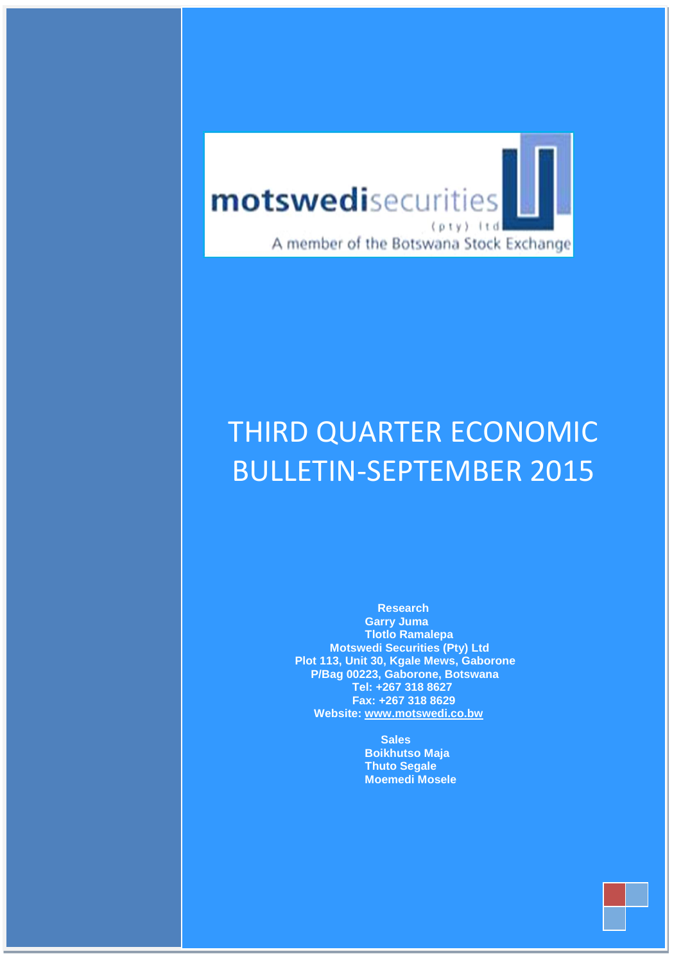

 **July– Sep 2011**

# **Motswedi Securities (Pty) Ltd PEDTEMAN Mews Gaborone** BULLETIN-SEPTEMBER 2015 THIRD QUARTER ECONOMIC

 **Research Garry Juma Tlotlo Ramalepa Motswedi Securities (Pty) Ltd Plot 113, Unit 30, Kgale Mews, Gaborone P/Bag 00223, Gaborone, Botswana Tel: +267 318 8627 Fax: +267 318 8629 Website: [www.motswedi.co.bw](http://www.motswedi.co.bw/)**

> **Sales Boikhutso Maja Thuto Segale [Moemedi Mosele](mailto:chibo@motswedi.co.bw)**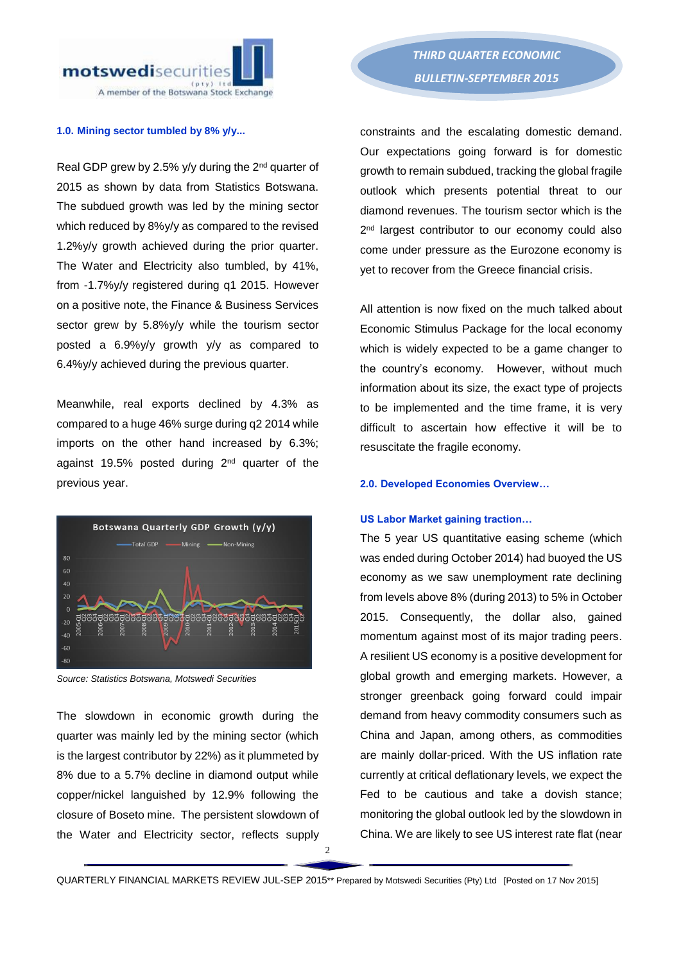

#### **1.0. Mining sector tumbled by 8% y/y...**

Real GDP grew by 2.5% y/y during the 2<sup>nd</sup> quarter of 2015 as shown by data from Statistics Botswana. The subdued growth was led by the mining sector which reduced by 8%y/y as compared to the revised 1.2%y/y growth achieved during the prior quarter. The Water and Electricity also tumbled, by 41%, from -1.7%y/y registered during q1 2015. However on a positive note, the Finance & Business Services sector grew by 5.8%y/y while the tourism sector posted a 6.9%y/y growth y/y as compared to 6.4%y/y achieved during the previous quarter.

Meanwhile, real exports declined by 4.3% as compared to a huge 46% surge during q2 2014 while imports on the other hand increased by 6.3%; against 19.5% posted during 2<sup>nd</sup> quarter of the previous year.



*Source: Statistics Botswana, Motswedi Securities* 

The slowdown in economic growth during the quarter was mainly led by the mining sector (which is the largest contributor by 22%) as it plummeted by 8% due to a 5.7% decline in diamond output while copper/nickel languished by 12.9% following the closure of Boseto mine. The persistent slowdown of the Water and Electricity sector, reflects supply

constraints and the escalating domestic demand. Our expectations going forward is for domestic growth to remain subdued, tracking the global fragile outlook which presents potential threat to our diamond revenues. The tourism sector which is the 2 nd largest contributor to our economy could also come under pressure as the Eurozone economy is yet to recover from the Greece financial crisis.

All attention is now fixed on the much talked about Economic Stimulus Package for the local economy which is widely expected to be a game changer to the country's economy. However, without much information about its size, the exact type of projects to be implemented and the time frame, it is very difficult to ascertain how effective it will be to resuscitate the fragile economy.

#### **2.0. Developed Economies Overview…**

#### **US Labor Market gaining traction…**

The 5 year US quantitative easing scheme (which was ended during October 2014) had buoyed the US economy as we saw unemployment rate declining from levels above 8% (during 2013) to 5% in October 2015. Consequently, the dollar also, gained momentum against most of its major trading peers. A resilient US economy is a positive development for global growth and emerging markets. However, a stronger greenback going forward could impair demand from heavy commodity consumers such as China and Japan, among others, as commodities are mainly dollar-priced. With the US inflation rate currently at critical deflationary levels, we expect the Fed to be cautious and take a dovish stance; monitoring the global outlook led by the slowdown in China. We are likely to see US interest rate flat (near

 $\mathfrak{D}$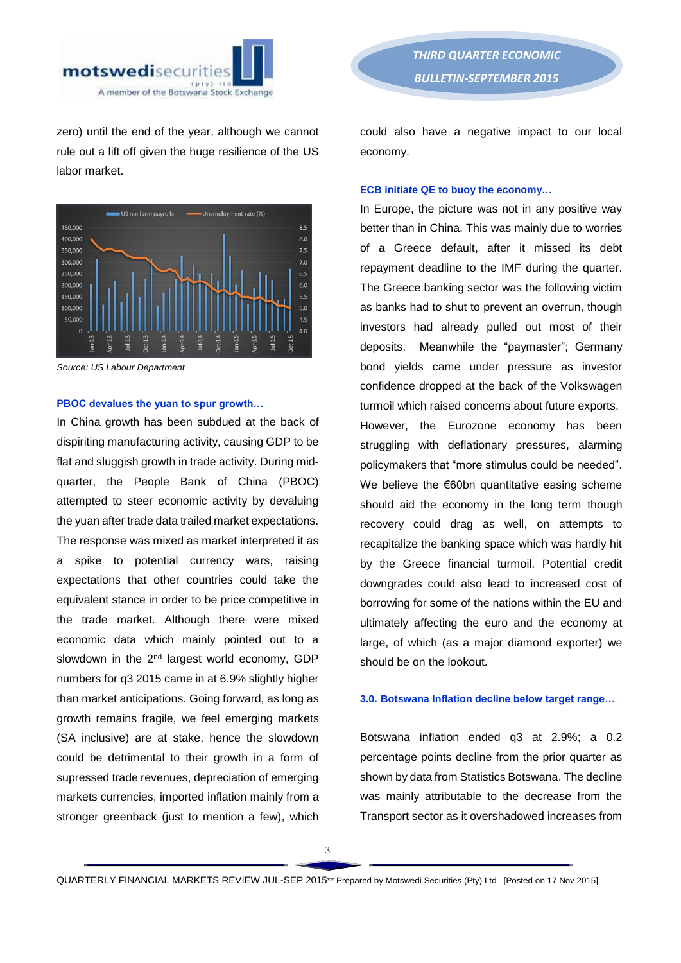

zero) until the end of the year, although we cannot rule out a lift off given the huge resilience of the US labor market.



*Source: US Labour Department* 

#### **PBOC devalues the yuan to spur growth…**

In China growth has been subdued at the back of dispiriting manufacturing activity, causing GDP to be flat and sluggish growth in trade activity. During midquarter, the People Bank of China (PBOC) attempted to steer economic activity by devaluing the yuan after trade data trailed market expectations. The response was mixed as market interpreted it as a spike to potential currency wars, raising expectations that other countries could take the equivalent stance in order to be price competitive in the trade market. Although there were mixed economic data which mainly pointed out to a slowdown in the 2<sup>nd</sup> largest world economy, GDP numbers for q3 2015 came in at 6.9% slightly higher than market anticipations. Going forward, as long as growth remains fragile, we feel emerging markets (SA inclusive) are at stake, hence the slowdown could be detrimental to their growth in a form of supressed trade revenues, depreciation of emerging markets currencies, imported inflation mainly from a stronger greenback (just to mention a few), which

*THIRD QUARTER ECONOMIC BULLETIN-SEPTEMBER 2015* 

could also have a negative impact to our local economy.

#### **ECB initiate QE to buoy the economy…**

In Europe, the picture was not in any positive way better than in China. This was mainly due to worries of a Greece default, after it missed its debt repayment deadline to the IMF during the quarter. The Greece banking sector was the following victim as banks had to shut to prevent an overrun, though investors had already pulled out most of their deposits. Meanwhile the "paymaster"; Germany bond yields came under pressure as investor confidence dropped at the back of the Volkswagen turmoil which raised concerns about future exports. However, the Eurozone economy has been struggling with deflationary pressures, alarming policymakers that "more stimulus could be needed". We believe the €60bn quantitative easing scheme should aid the economy in the long term though recovery could drag as well, on attempts to recapitalize the banking space which was hardly hit by the Greece financial turmoil. Potential credit downgrades could also lead to increased cost of borrowing for some of the nations within the EU and ultimately affecting the euro and the economy at large, of which (as a major diamond exporter) we should be on the lookout.

#### **3.0. Botswana Inflation decline below target range…**

Botswana inflation ended q3 at 2.9%; a 0.2 percentage points decline from the prior quarter as shown by data from Statistics Botswana. The decline was mainly attributable to the decrease from the Transport sector as it overshadowed increases from

QUARTERLY FINANCIAL MARKETS REVIEW JUL-SEP 2015\*\* Prepared by Motswedi Securities (Pty) Ltd [Posted on 17 Nov 2015]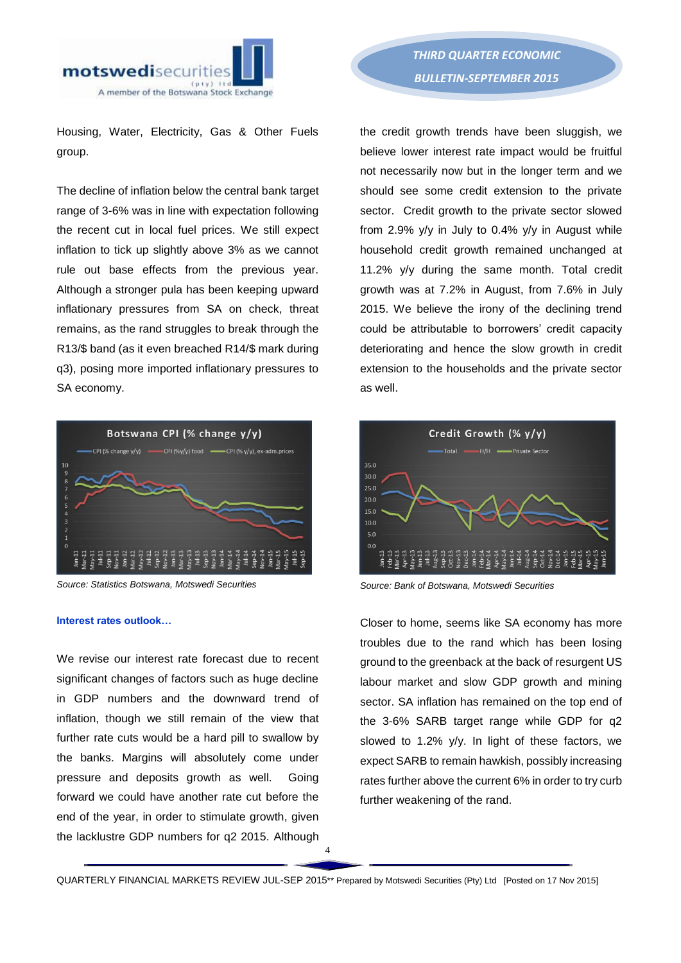

Housing, Water, Electricity, Gas & Other Fuels group.

The decline of inflation below the central bank target range of 3-6% was in line with expectation following the recent cut in local fuel prices. We still expect inflation to tick up slightly above 3% as we cannot rule out base effects from the previous year. Although a stronger pula has been keeping upward inflationary pressures from SA on check, threat remains, as the rand struggles to break through the R13/\$ band (as it even breached R14/\$ mark during q3), posing more imported inflationary pressures to SA economy.



*Source: Statistics Botswana, Motswedi Securities*

#### **Interest rates outlook…**

We revise our interest rate forecast due to recent significant changes of factors such as huge decline in GDP numbers and the downward trend of inflation, though we still remain of the view that further rate cuts would be a hard pill to swallow by the banks. Margins will absolutely come under pressure and deposits growth as well. Going forward we could have another rate cut before the end of the year, in order to stimulate growth, given the lacklustre GDP numbers for q2 2015. Although

*THIRD QUARTER ECONOMIC BULLETIN-SEPTEMBER 2015* 

the credit growth trends have been sluggish, we believe lower interest rate impact would be fruitful not necessarily now but in the longer term and we should see some credit extension to the private sector. Credit growth to the private sector slowed from 2.9% y/y in July to 0.4% y/y in August while household credit growth remained unchanged at 11.2% y/y during the same month. Total credit growth was at 7.2% in August, from 7.6% in July 2015. We believe the irony of the declining trend could be attributable to borrowers' credit capacity deteriorating and hence the slow growth in credit extension to the households and the private sector as well.



*Source: Bank of Botswana, Motswedi Securities* 

Closer to home, seems like SA economy has more troubles due to the rand which has been losing ground to the greenback at the back of resurgent US labour market and slow GDP growth and mining sector. SA inflation has remained on the top end of the 3-6% SARB target range while GDP for q2 slowed to 1.2% y/y. In light of these factors, we expect SARB to remain hawkish, possibly increasing rates further above the current 6% in order to try curb further weakening of the rand.

QUARTERLY FINANCIAL MARKETS REVIEW JUL-SEP 2015\*\* Prepared by Motswedi Securities (Pty) Ltd [Posted on 17 Nov 2015]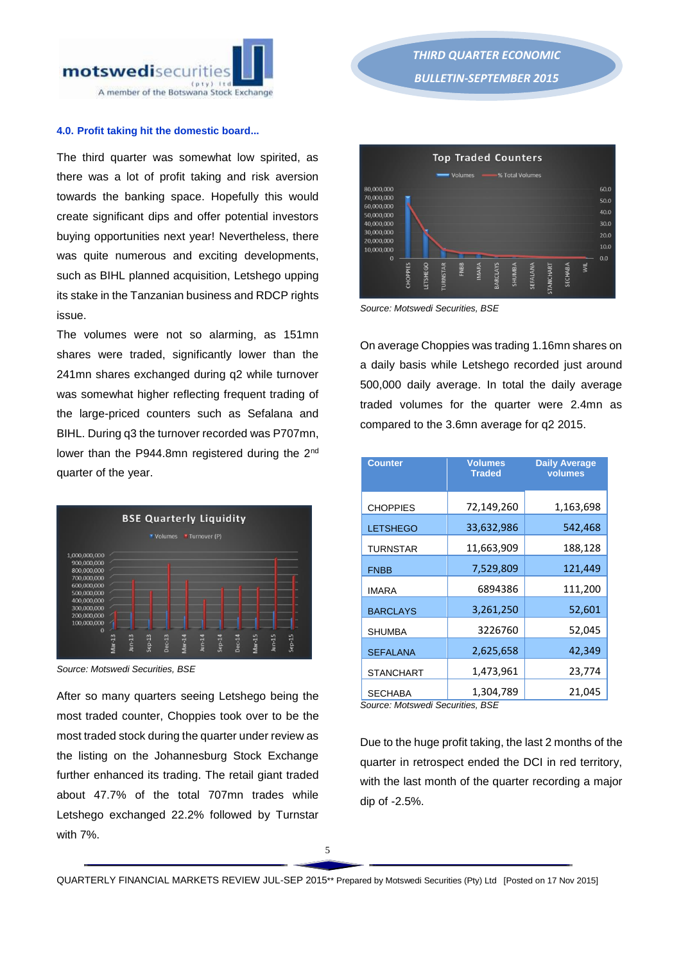

#### **4.0. Profit taking hit the domestic board...**

The third quarter was somewhat low spirited, as there was a lot of profit taking and risk aversion towards the banking space. Hopefully this would create significant dips and offer potential investors buying opportunities next year! Nevertheless, there was quite numerous and exciting developments, such as BIHL planned acquisition, Letshego upping its stake in the Tanzanian business and RDCP rights issue.

The volumes were not so alarming, as 151mn shares were traded, significantly lower than the 241mn shares exchanged during q2 while turnover was somewhat higher reflecting frequent trading of the large-priced counters such as Sefalana and BIHL. During q3 the turnover recorded was P707mn, lower than the P944.8mn registered during the 2<sup>nd</sup> quarter of the year.



*Source: Motswedi Securities, BSE* 

After so many quarters seeing Letshego being the most traded counter, Choppies took over to be the most traded stock during the quarter under review as the listing on the Johannesburg Stock Exchange further enhanced its trading. The retail giant traded about 47.7% of the total 707mn trades while Letshego exchanged 22.2% followed by Turnstar with 7%.



*Source: Motswedi Securities, BSE* 

On average Choppies was trading 1.16mn shares on a daily basis while Letshego recorded just around 500,000 daily average. In total the daily average traded volumes for the quarter were 2.4mn as compared to the 3.6mn average for q2 2015.

| <b>Counter</b>   | <b>Volumes</b><br><b>Traded</b> | <b>Daily Average</b><br>volumes |  |
|------------------|---------------------------------|---------------------------------|--|
| <b>CHOPPIES</b>  | 72,149,260                      | 1,163,698                       |  |
| <b>LETSHEGO</b>  | 33,632,986                      | 542,468                         |  |
| <b>TURNSTAR</b>  | 11,663,909                      | 188,128                         |  |
| <b>FNBB</b>      | 7,529,809                       | 121,449                         |  |
| <b>IMARA</b>     | 6894386                         | 111,200                         |  |
| <b>BARCLAYS</b>  | 3,261,250                       | 52,601                          |  |
| <b>SHUMBA</b>    | 3226760                         | 52,045                          |  |
| <b>SEFALANA</b>  | 2,625,658                       | 42,349                          |  |
| <b>STANCHART</b> | 1,473,961                       | 23,774                          |  |
| <b>SECHABA</b>   | 1,304,789                       | 21,045                          |  |

*Source: Motswedi Securities, BSE* 

Due to the huge profit taking, the last 2 months of the quarter in retrospect ended the DCI in red territory, with the last month of the quarter recording a major dip of -2.5%.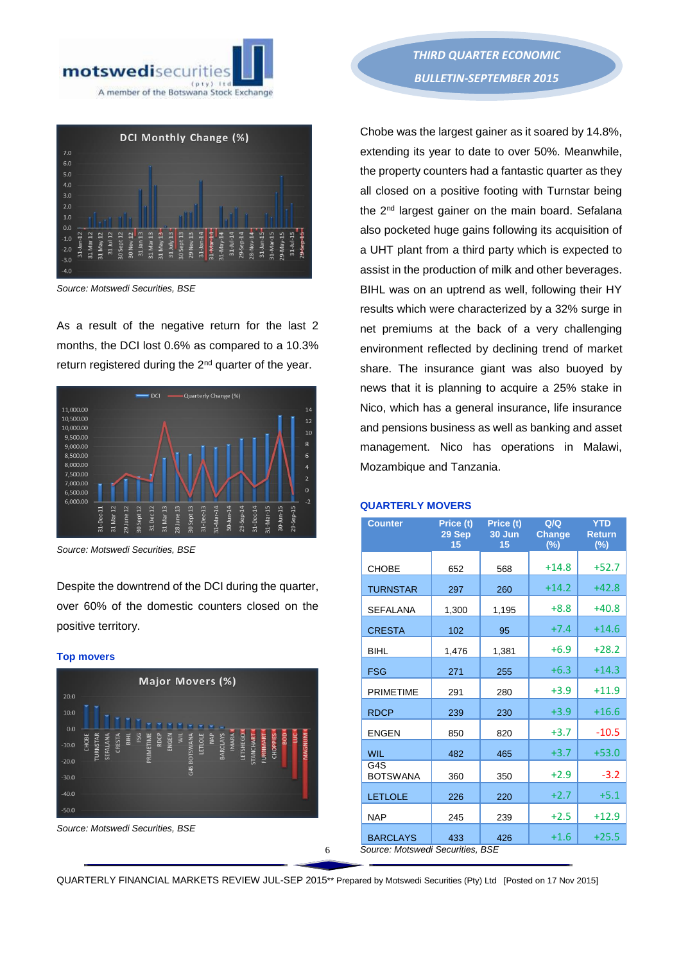



*Source: Motswedi Securities, BSE* 

As a result of the negative return for the last 2 months, the DCI lost 0.6% as compared to a 10.3% return registered during the 2<sup>nd</sup> quarter of the year.



*Source: Motswedi Securities, BSE*

Despite the downtrend of the DCI during the quarter, over 60% of the domestic counters closed on the positive territory.

#### **Top movers**





*THIRD QUARTER ECONOMIC BULLETIN-SEPTEMBER 2015* 

Chobe was the largest gainer as it soared by 14.8%, extending its year to date to over 50%. Meanwhile, the property counters had a fantastic quarter as they all closed on a positive footing with Turnstar being the 2<sup>nd</sup> largest gainer on the main board. Sefalana also pocketed huge gains following its acquisition of a UHT plant from a third party which is expected to assist in the production of milk and other beverages. BIHL was on an uptrend as well, following their HY results which were characterized by a 32% surge in net premiums at the back of a very challenging environment reflected by declining trend of market share. The insurance giant was also buoyed by news that it is planning to acquire a 25% stake in Nico, which has a general insurance, life insurance and pensions business as well as banking and asset management. Nico has operations in Malawi, Mozambique and Tanzania.

# **QUARTERLY MOVERS**

| <b>Counter</b>                   | Price (t)<br>29 Sep<br>15 | Price (t)<br>30 Jun<br>15 | Q/Q<br><b>Change</b><br>(%) | <b>YTD</b><br><b>Return</b><br>(%) |
|----------------------------------|---------------------------|---------------------------|-----------------------------|------------------------------------|
| <b>CHOBE</b>                     | 652                       | 568                       | $+14.8$                     | $+52.7$                            |
| <b>TURNSTAR</b>                  | 297                       | 260                       | $+14.2$                     | +42.8                              |
| <b>SEFALANA</b>                  | 1,300                     | 1,195                     | $+8.8$                      | $+40.8$                            |
| <b>CRESTA</b>                    | 102                       | 95                        | $+7.4$                      | $+14.6$                            |
| <b>BIHL</b>                      | 1,476                     | 1,381                     | $+6.9$                      | $+28.2$                            |
| <b>FSG</b>                       | 271                       | 255                       | $+6.3$                      | $+14.3$                            |
| <b>PRIMETIME</b>                 | 291                       | 280                       | $+3.9$                      | $+11.9$                            |
| <b>RDCP</b>                      | 239                       | 230                       | $+3.9$                      | $+16.6$                            |
| <b>ENGEN</b>                     | 850                       | 820                       | $+3.7$                      | $-10.5$                            |
| <b>WIL</b>                       | 482                       | 465                       | $+3.7$                      | $+53.0$                            |
| G4S<br><b>BOTSWANA</b>           | 360                       | 350                       | $+2.9$                      | $-3.2$                             |
| <b>LETLOLE</b>                   | 226                       | 220                       | $+2.7$                      | $+5.1$                             |
| <b>NAP</b>                       | 245                       | 239                       | $+2.5$                      | $+12.9$                            |
| <b>BARCLAYS</b>                  | 433                       | 426                       | $+1.6$                      | $+25.5$                            |
| Source: Motswedi Securities. BSE |                           |                           |                             |                                    |

QUARTERLY FINANCIAL MARKETS REVIEW JUL-SEP 2015\*\* Prepared by Motswedi Securities (Pty) Ltd [Posted on 17 Nov 2015]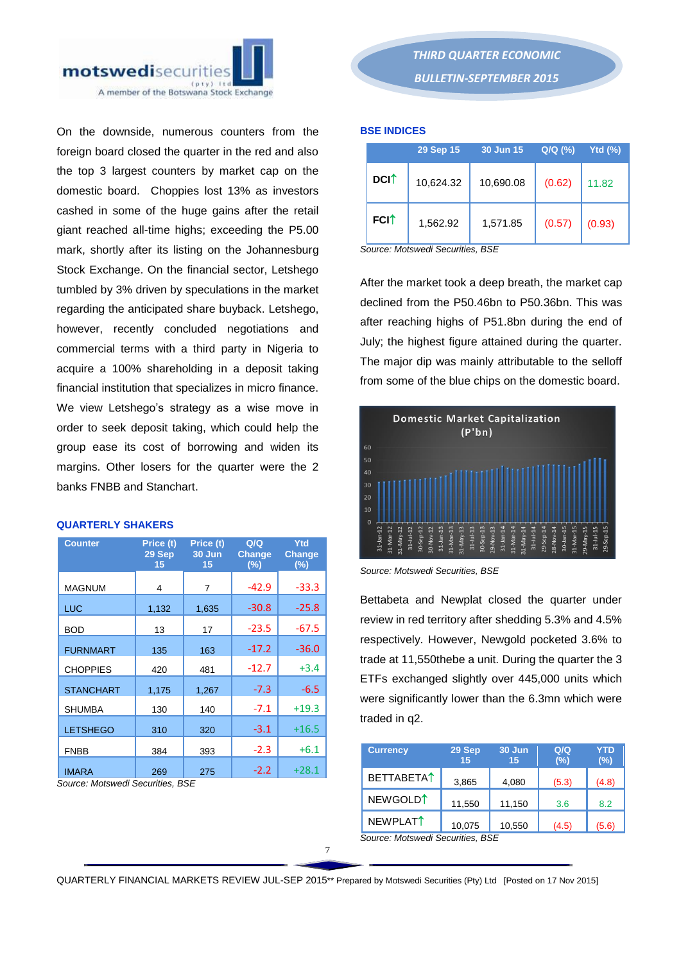

On the downside, numerous counters from the foreign board closed the quarter in the red and also the top 3 largest counters by market cap on the domestic board. Choppies lost 13% as investors cashed in some of the huge gains after the retail giant reached all-time highs; exceeding the P5.00 mark, shortly after its listing on the Johannesburg Stock Exchange. On the financial sector, Letshego tumbled by 3% driven by speculations in the market regarding the anticipated share buyback. Letshego, however, recently concluded negotiations and commercial terms with a third party in Nigeria to acquire a 100% shareholding in a deposit taking financial institution that specializes in micro finance. We view Letshego's strategy as a wise move in order to seek deposit taking, which could help the group ease its cost of borrowing and widen its margins. Other losers for the quarter were the 2 banks FNBB and Stanchart.

# **QUARTERLY SHAKERS**

| <b>Counter</b>   | Price (t)<br>29 Sep<br>15 | Price (t)<br>30 Jun<br>15 | Q/Q<br><b>Change</b><br>(%) | Ytd<br><b>Change</b><br>$(\%)$ |
|------------------|---------------------------|---------------------------|-----------------------------|--------------------------------|
| <b>MAGNUM</b>    | 4                         | 7                         | $-42.9$                     | $-33.3$                        |
| <b>LUC</b>       | 1,132                     | 1,635                     | $-30.8$                     | $-25.8$                        |
| <b>BOD</b>       | 13                        | 17                        | $-23.5$                     | $-67.5$                        |
| <b>FURNMART</b>  | 135                       | 163                       | $-17.2$                     | $-36.0$                        |
| <b>CHOPPIES</b>  | 420                       | 481                       | $-12.7$                     | $+3.4$                         |
| <b>STANCHART</b> | 1,175                     | 1,267                     | $-7.3$                      | $-6.5$                         |
| <b>SHUMBA</b>    | 130                       | 140                       | $-7.1$                      | $+19.3$                        |
| <b>LETSHEGO</b>  | 310                       | 320                       | $-3.1$                      | $+16.5$                        |
| <b>FNBB</b>      | 384                       | 393                       | $-2.3$                      | $+6.1$                         |
| <b>IMARA</b>     | 269                       | 275                       | $-2.2$                      | $+28.1$                        |

*Source: Motswedi Securities, BSE*

*THIRD QUARTER ECONOMIC BULLETIN-SEPTEMBER 2015* 

#### **BSE INDICES**

|                         | 29 Sep 15 | 30 Jun 15 | Q/Q (%) | Ytd $(\%)$ |
|-------------------------|-----------|-----------|---------|------------|
| <b>DCI</b> <sup>↑</sup> | 10,624.32 | 10,690.08 | (0.62)  | 11.82      |
| <b>FCI</b> <sup>↑</sup> | 1,562.92  | 1,571.85  | (0.57)  | (0.93)     |

*Source: Motswedi Securities, BSE* 

After the market took a deep breath, the market cap declined from the P50.46bn to P50.36bn. This was after reaching highs of P51.8bn during the end of July; the highest figure attained during the quarter. The major dip was mainly attributable to the selloff from some of the blue chips on the domestic board.



*Source: Motswedi Securities, BSE* 

Bettabeta and Newplat closed the quarter under review in red territory after shedding 5.3% and 4.5% respectively. However, Newgold pocketed 3.6% to trade at 11,550thebe a unit. During the quarter the 3 ETFs exchanged slightly over 445,000 units which were significantly lower than the 6.3mn which were traded in q2.

| <b>Currency</b>                  | 29 Sep<br>15 | 30 Jun<br>15 | Q/Q<br>(%) | YTD<br>$(\%)$ |
|----------------------------------|--------------|--------------|------------|---------------|
| <b>BETTABETAT</b>                | 3,865        | 4,080        | (5.3)      | (4.8)         |
| NEWGOLD <sup>1</sup>             | 11,550       | 11,150       | 3.6        | 8.2           |
| NEWPLAT <sup>↑</sup>             | 10,075       | 10,550       | (4.5)      | (5.6)         |
| Source: Motswedi Securities, BSE |              |              |            |               |

QUARTERLY FINANCIAL MARKETS REVIEW JUL-SEP 2015\*\* Prepared by Motswedi Securities (Pty) Ltd [Posted on 17 Nov 2015]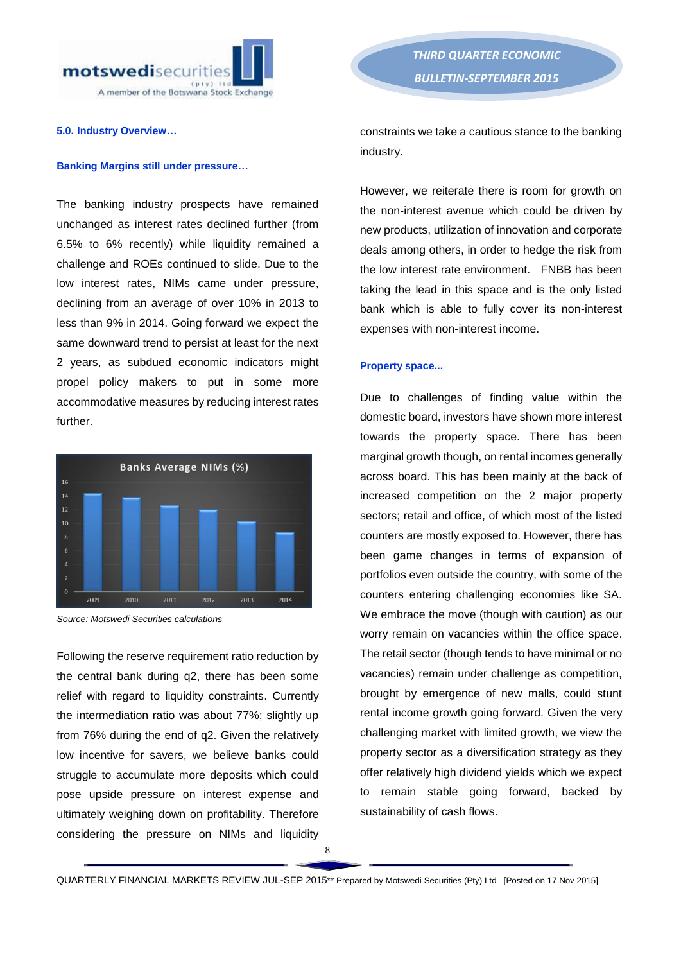

#### **5.0. Industry Overview…**

#### **Banking Margins still under pressure…**

The banking industry prospects have remained unchanged as interest rates declined further (from 6.5% to 6% recently) while liquidity remained a challenge and ROEs continued to slide. Due to the low interest rates, NIMs came under pressure, declining from an average of over 10% in 2013 to less than 9% in 2014. Going forward we expect the same downward trend to persist at least for the next 2 years, as subdued economic indicators might propel policy makers to put in some more accommodative measures by reducing interest rates further.



*Source: Motswedi Securities calculations* 

Following the reserve requirement ratio reduction by the central bank during q2, there has been some relief with regard to liquidity constraints. Currently the intermediation ratio was about 77%; slightly up from 76% during the end of q2. Given the relatively low incentive for savers, we believe banks could struggle to accumulate more deposits which could pose upside pressure on interest expense and ultimately weighing down on profitability. Therefore considering the pressure on NIMs and liquidity

*THIRD QUARTER ECONOMIC BULLETIN-SEPTEMBER 2015* 

constraints we take a cautious stance to the banking industry.

However, we reiterate there is room for growth on the non-interest avenue which could be driven by new products, utilization of innovation and corporate deals among others, in order to hedge the risk from the low interest rate environment. FNBB has been taking the lead in this space and is the only listed bank which is able to fully cover its non-interest expenses with non-interest income.

#### **Property space...**

Due to challenges of finding value within the domestic board, investors have shown more interest towards the property space. There has been marginal growth though, on rental incomes generally across board. This has been mainly at the back of increased competition on the 2 major property sectors; retail and office, of which most of the listed counters are mostly exposed to. However, there has been game changes in terms of expansion of portfolios even outside the country, with some of the counters entering challenging economies like SA. We embrace the move (though with caution) as our worry remain on vacancies within the office space. The retail sector (though tends to have minimal or no vacancies) remain under challenge as competition, brought by emergence of new malls, could stunt rental income growth going forward. Given the very challenging market with limited growth, we view the property sector as a diversification strategy as they offer relatively high dividend yields which we expect to remain stable going forward, backed by sustainability of cash flows.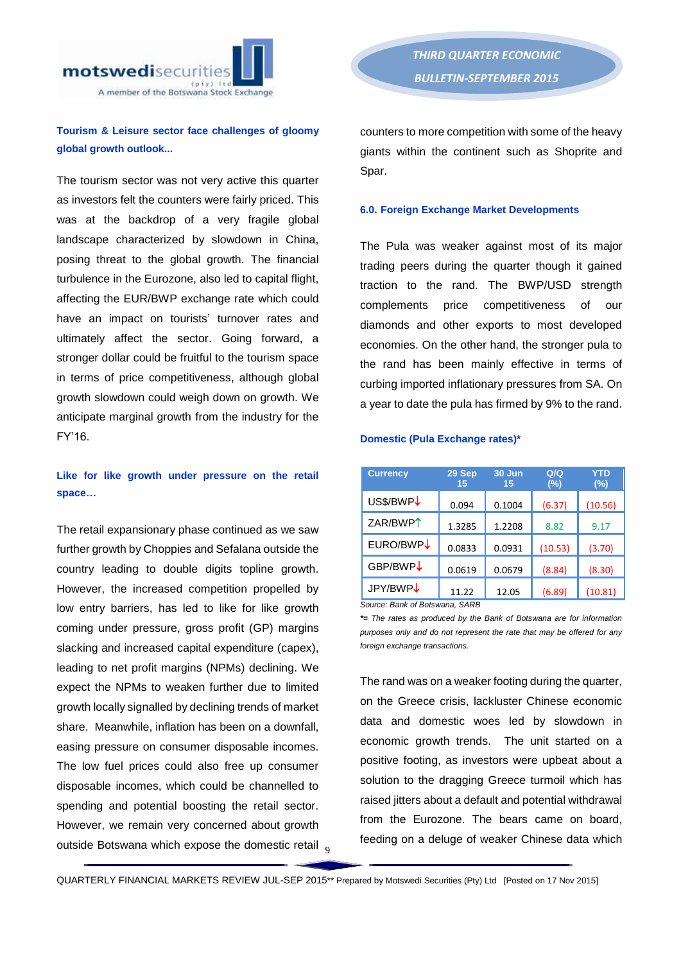

# **Tourism & Leisure sector face challenges of gloomy global growth outlook...**

The tourism sector was not very active this quarter as investors felt the counters were fairly priced. This was at the backdrop of a very fragile global landscape characterized by slowdown in China, posing threat to the global growth. The financial turbulence in the Eurozone, also led to capital flight, affecting the EUR/BWP exchange rate which could have an impact on tourists' turnover rates and ultimately affect the sector. Going forward, a stronger dollar could be fruitful to the tourism space in terms of price competitiveness, although global growth slowdown could weigh down on growth. We anticipate marginal growth from the industry for the FY'16.

# **Like for like growth under pressure on the retail space…**

outside Botswana which expose the domestic retail  $_{9}$ The retail expansionary phase continued as we saw further growth by Choppies and Sefalana outside the country leading to double digits topline growth. However, the increased competition propelled by low entry barriers, has led to like for like growth coming under pressure, gross profit (GP) margins slacking and increased capital expenditure (capex), leading to net profit margins (NPMs) declining. We expect the NPMs to weaken further due to limited growth locally signalled by declining trends of market share. Meanwhile, inflation has been on a downfall, easing pressure on consumer disposable incomes. The low fuel prices could also free up consumer disposable incomes, which could be channelled to spending and potential boosting the retail sector. However, we remain very concerned about growth

counters to more competition with some of the heavy giants within the continent such as Shoprite and Spar.

#### **6.0. Foreign Exchange Market Developments**

The Pula was weaker against most of its major trading peers during the quarter though it gained traction to the rand. The BWP/USD strength complements price competitiveness of our diamonds and other exports to most developed economies. On the other hand, the stronger pula to the rand has been mainly effective in terms of curbing imported inflationary pressures from SA. On a year to date the pula has firmed by 9% to the rand.

#### **Domestic (Pula Exchange rates)\***

| 29 Sep<br>15 | 30 Jun<br>15 | Q/Q<br>(%) | <b>YTD</b><br>$(\%)$ |
|--------------|--------------|------------|----------------------|
| 0.094        | 0.1004       | (6.37)     | (10.56)              |
| 1.3285       | 1.2208       | 8.82       | 9.17                 |
| 0.0833       | 0.0931       | (10.53)    | (3.70)               |
| 0.0619       | 0.0679       | (8.84)     | (8.30)               |
| 11.22        | 12.05        | (6.89)     | (10.81)              |
|              |              |            |                      |

*\*= The rates as produced by the Bank of Botswana are for information* 

*purposes only and do not represent the rate that may be offered for any foreign exchange transactions.*

The rand was on a weaker footing during the quarter, on the Greece crisis, lackluster Chinese economic data and domestic woes led by slowdown in economic growth trends. The unit started on a positive footing, as investors were upbeat about a solution to the dragging Greece turmoil which has raised jitters about a default and potential withdrawal from the Eurozone. The bears came on board, feeding on a deluge of weaker Chinese data which

QUARTERLY FINANCIAL MARKETS REVIEW JUL-SEP 2015\*\* Prepared by Motswedi Securities (Pty) Ltd [Posted on 17 Nov 2015]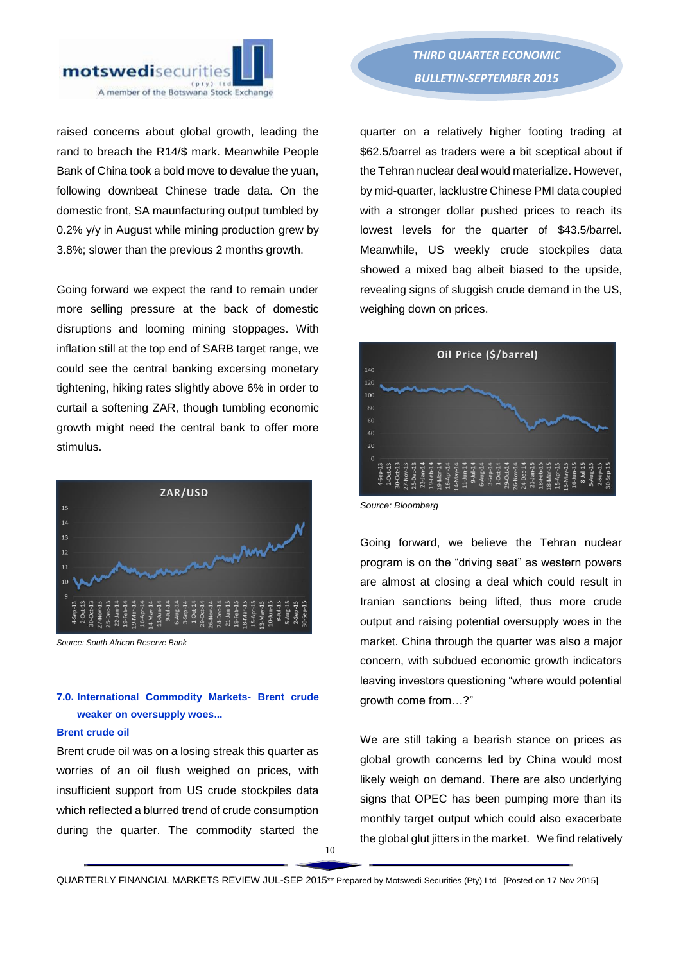

raised concerns about global growth, leading the rand to breach the R14/\$ mark. Meanwhile People Bank of China took a bold move to devalue the yuan, following downbeat Chinese trade data. On the domestic front, SA maunfacturing output tumbled by 0.2% y/y in August while mining production grew by 3.8%; slower than the previous 2 months growth.

Going forward we expect the rand to remain under more selling pressure at the back of domestic disruptions and looming mining stoppages. With inflation still at the top end of SARB target range, we could see the central banking excersing monetary tightening, hiking rates slightly above 6% in order to curtail a softening ZAR, though tumbling economic growth might need the central bank to offer more stimulus.



*Source: South African Reserve Bank*

# **7.0. International Commodity Markets- Brent crude weaker on oversupply woes...**

## **Brent crude oil**

Brent crude oil was on a losing streak this quarter as worries of an oil flush weighed on prices, with insufficient support from US crude stockpiles data which reflected a blurred trend of crude consumption during the quarter. The commodity started the

quarter on a relatively higher footing trading at \$62.5/barrel as traders were a bit sceptical about if the Tehran nuclear deal would materialize. However, by mid-quarter, lacklustre Chinese PMI data coupled with a stronger dollar pushed prices to reach its lowest levels for the quarter of \$43.5/barrel. Meanwhile, US weekly crude stockpiles data showed a mixed bag albeit biased to the upside, revealing signs of sluggish crude demand in the US, weighing down on prices.



*Source: Bloomberg*

Going forward, we believe the Tehran nuclear program is on the "driving seat" as western powers are almost at closing a deal which could result in Iranian sanctions being lifted, thus more crude output and raising potential oversupply woes in the market. China through the quarter was also a major concern, with subdued economic growth indicators leaving investors questioning "where would potential growth come from…?"

We are still taking a bearish stance on prices as global growth concerns led by China would most likely weigh on demand. There are also underlying signs that OPEC has been pumping more than its monthly target output which could also exacerbate the global glut jitters in the market. We find relatively